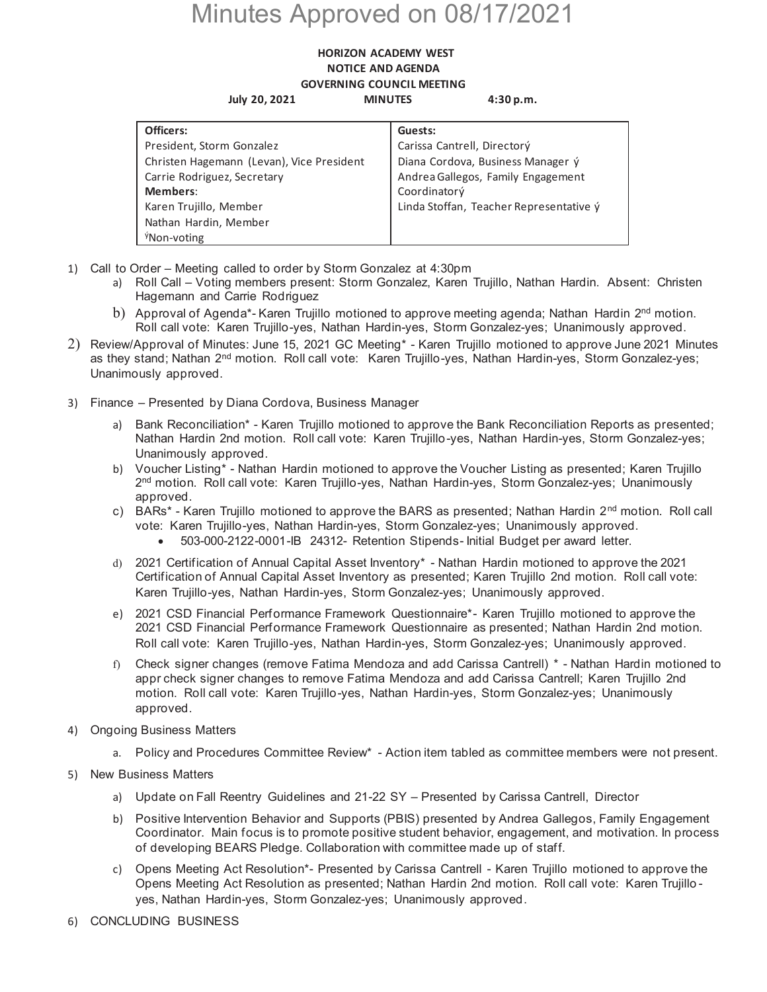## Minutes Approved on 08/17/2021

## **HORIZON ACADEMY WEST NOTICE AND AGENDA GOVERNING COUNCIL MEETING July 20, 2021 MINUTES 4:30 p.m.**

| Officers:                                 | Guests:                                 |
|-------------------------------------------|-----------------------------------------|
| President, Storm Gonzalez                 | Carissa Cantrell, Directorý             |
| Christen Hagemann (Levan), Vice President | Diana Cordova, Business Manager ý       |
| Carrie Rodriguez, Secretary               | Andrea Gallegos, Family Engagement      |
| Members:                                  | Coordinatorý                            |
| Karen Trujillo, Member                    | Linda Stoffan, Teacher Representative ý |
| Nathan Hardin, Member                     |                                         |
| <sup>ý</sup> Non-voting                   |                                         |

- 1) Call to Order Meeting called to order by Storm Gonzalez at 4:30pm
	- a) Roll Call Voting members present: Storm Gonzalez, Karen Trujillo, Nathan Hardin. Absent: Christen Hagemann and Carrie Rodriguez
	- b) Approval of Agenda<sup>\*</sup>- Karen Trujillo motioned to approve meeting agenda; Nathan Hardin 2<sup>nd</sup> motion. Roll call vote: Karen Trujillo-yes, Nathan Hardin-yes, Storm Gonzalez-yes; Unanimously approved.
- 2) Review/Approval of Minutes: June 15, 2021 GC Meeting\* Karen Trujillo motioned to approve June 2021 Minutes as they stand; Nathan 2<sup>nd</sup> motion. Roll call vote: Karen Trujillo-yes, Nathan Hardin-yes, Storm Gonzalez-yes; Unanimously approved.
- 3) Finance Presented by Diana Cordova, Business Manager
	- a) Bank Reconciliation\* Karen Trujillo motioned to approve the Bank Reconciliation Reports as presented; Nathan Hardin 2nd motion. Roll call vote: Karen Trujillo-yes, Nathan Hardin-yes, Storm Gonzalez-yes; Unanimously approved.
	- b) Voucher Listing\* Nathan Hardin motioned to approve the Voucher Listing as presented; Karen Trujillo 2<sup>nd</sup> motion. Roll call vote: Karen Trujillo-yes, Nathan Hardin-yes, Storm Gonzalez-yes; Unanimously approved.
	- c) BARs<sup>\*</sup> Karen Trujillo motioned to approve the BARS as presented; Nathan Hardin  $2<sup>nd</sup>$  motion. Roll call vote: Karen Trujillo-yes, Nathan Hardin-yes, Storm Gonzalez-yes; Unanimously approved.
		- x 503-000-2122-0001-IB 24312- Retention Stipends- Initial Budget per award letter.
	- d) 2021 Certification of Annual Capital Asset Inventory\* Nathan Hardin motioned to approve the 2021 Certification of Annual Capital Asset Inventory as presented; Karen Trujillo 2nd motion. Roll call vote: Karen Trujillo-yes, Nathan Hardin-yes, Storm Gonzalez-yes; Unanimously approved.
	- e) 2021 CSD Financial Performance Framework Questionnaire\*- Karen Trujillo motioned to approve the 2021 CSD Financial Performance Framework Questionnaire as presented; Nathan Hardin 2nd motion. Roll call vote: Karen Trujillo-yes, Nathan Hardin-yes, Storm Gonzalez-yes; Unanimously approved.
	- f) Check signer changes (remove Fatima Mendoza and add Carissa Cantrell) \* Nathan Hardin motioned to appr check signer changes to remove Fatima Mendoza and add Carissa Cantrell; Karen Trujillo 2nd motion. Roll call vote: Karen Trujillo-yes, Nathan Hardin-yes, Storm Gonzalez-yes; Unanimously approved.
- 4) Ongoing Business Matters
	- a. Policy and Procedures Committee Review\* Action item tabled as committee members were not present.
- 5) New Business Matters
	- a) Update on Fall Reentry Guidelines and 21-22 SY Presented by Carissa Cantrell, Director
	- b) Positive Intervention Behavior and Supports (PBIS) presented by Andrea Gallegos, Family Engagement Coordinator. Main focus is to promote positive student behavior, engagement, and motivation. In process of developing BEARS Pledge. Collaboration with committee made up of staff.
	- c) Opens Meeting Act Resolution\*- Presented by Carissa Cantrell Karen Trujillo motioned to approve the Opens Meeting Act Resolution as presented; Nathan Hardin 2nd motion. Roll call vote: Karen Trujillo yes, Nathan Hardin-yes, Storm Gonzalez-yes; Unanimously approved.
- 6) CONCLUDING BUSINESS